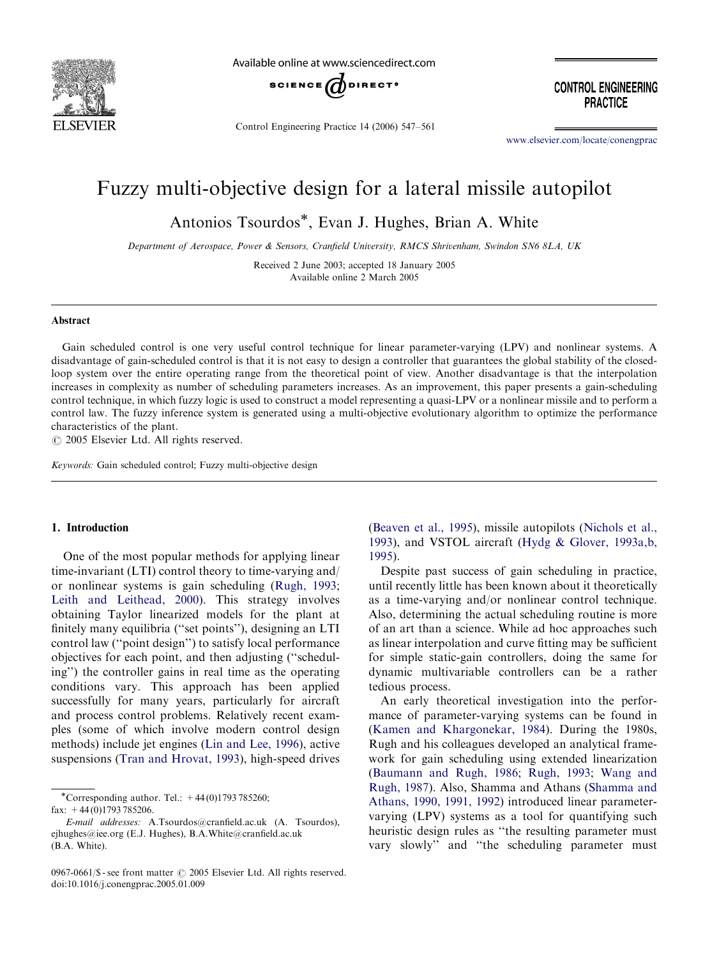

Available online at www.sciencedirect.com



Control Engineering Practice 14 (2006) 547–561

**CONTROL ENGINEERING PRACTICE** 

<www.elsevier.com/locate/conengprac>

# Fuzzy multi-objective design for a lateral missile autopilot

Antonios Tsourdos\*, Evan J. Hughes, Brian A. White

Department of Aerospace, Power & Sensors, Cranfield University, RMCS Shrivenham, Swindon SN6 8LA, UK

Received 2 June 2003; accepted 18 January 2005 Available online 2 March 2005

#### Abstract

Gain scheduled control is one very useful control technique for linear parameter-varying (LPV) and nonlinear systems. A disadvantage of gain-scheduled control is that it is not easy to design a controller that guarantees the global stability of the closedloop system over the entire operating range from the theoretical point of view. Another disadvantage is that the interpolation increases in complexity as number of scheduling parameters increases. As an improvement, this paper presents a gain-scheduling control technique, in which fuzzy logic is used to construct a model representing a quasi-LPV or a nonlinear missile and to perform a control law. The fuzzy inference system is generated using a multi-objective evolutionary algorithm to optimize the performance characteristics of the plant.

 $\odot$  2005 Elsevier Ltd. All rights reserved.

Keywords: Gain scheduled control; Fuzzy multi-objective design

## 1. Introduction

One of the most popular methods for applying linear time-invariant (LTI) control theory to time-varying and/ or nonlinear systems is gain scheduling ([Rugh, 1993;](#page-13-0) [Leith and Leithead, 2000\)](#page-13-0). This strategy involves obtaining Taylor linearized models for the plant at finitely many equilibria (''set points''), designing an LTI control law (''point design'') to satisfy local performance objectives for each point, and then adjusting (''scheduling'') the controller gains in real time as the operating conditions vary. This approach has been applied successfully for many years, particularly for aircraft and process control problems. Relatively recent examples (some of which involve modern control design methods) include jet engines ([Lin and Lee, 1996\)](#page-13-0), active suspensions ([Tran and Hrovat, 1993\)](#page-14-0), high-speed drives

\*Corresponding author. Tel.:  $+44(0)1793785260$ ;

fax:  $+44(0)1793785206$ .

([Beaven et al., 1995\)](#page-12-0), missile autopilots ([Nichols et al.,](#page-13-0) [1993](#page-13-0)), and VSTOL aircraft ([Hydg](#page-13-0) [& Glover, 1993a,b,](#page-13-0) [1995](#page-13-0)).

Despite past success of gain scheduling in practice, until recently little has been known about it theoretically as a time-varying and/or nonlinear control technique. Also, determining the actual scheduling routine is more of an art than a science. While ad hoc approaches such as linear interpolation and curve fitting may be sufficient for simple static-gain controllers, doing the same for dynamic multivariable controllers can be a rather tedious process.

An early theoretical investigation into the performance of parameter-varying systems can be found in ([Kamen and Khargonekar, 1984](#page-13-0)). During the 1980s, Rugh and his colleagues developed an analytical framework for gain scheduling using extended linearization ([Baumann and Rugh, 1986](#page-12-0); [Rugh, 1993](#page-13-0); [Wang and](#page-14-0) [Rugh, 1987](#page-14-0)). Also, Shamma and Athans ([Shamma and](#page-13-0) [Athans, 1990, 1991, 1992](#page-13-0)) introduced linear parametervarying (LPV) systems as a tool for quantifying such heuristic design rules as ''the resulting parameter must vary slowly'' and ''the scheduling parameter must

E-mail addresses: A.Tsourdos@cranfield.ac.uk (A. Tsourdos), ejhughes@iee.org (E.J. Hughes), B.A.White@cranfield.ac.uk (B.A. White).

<sup>0967-0661/\$ -</sup> see front matter  $\odot$  2005 Elsevier Ltd. All rights reserved. doi:10.1016/j.conengprac.2005.01.009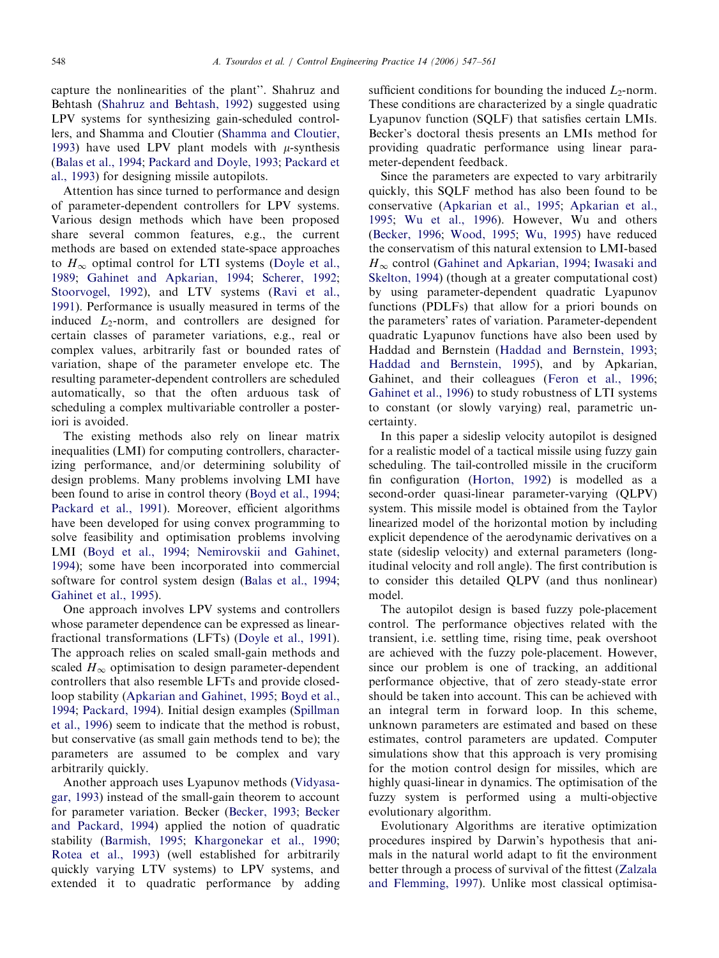capture the nonlinearities of the plant''. Shahruz and Behtash ([Shahruz and Behtash, 1992](#page-13-0)) suggested using LPV systems for synthesizing gain-scheduled controllers, and Shamma and Cloutier ([Shamma and Cloutier,](#page-14-0) [1993](#page-14-0)) have used LPV plant models with  $\mu$ -synthesis ([Balas et al., 1994;](#page-12-0) [Packard and Doyle, 1993;](#page-13-0) [Packard et](#page-13-0) [al., 1993\)](#page-13-0) for designing missile autopilots.

Attention has since turned to performance and design of parameter-dependent controllers for LPV systems. Various design methods which have been proposed share several common features, e.g., the current methods are based on extended state-space approaches to  $H_{\infty}$  optimal control for LTI systems ([Doyle et al.,](#page-13-0) [1989](#page-13-0); [Gahinet and Apkarian, 1994;](#page-13-0) [Scherer, 1992;](#page-13-0) [Stoorvogel, 1992\)](#page-14-0), and LTV systems ([Ravi et al.,](#page-13-0) [1991](#page-13-0)). Performance is usually measured in terms of the induced  $L_2$ -norm, and controllers are designed for certain classes of parameter variations, e.g., real or complex values, arbitrarily fast or bounded rates of variation, shape of the parameter envelope etc. The resulting parameter-dependent controllers are scheduled automatically, so that the often arduous task of scheduling a complex multivariable controller a posteriori is avoided.

The existing methods also rely on linear matrix inequalities (LMI) for computing controllers, characterizing performance, and/or determining solubility of design problems. Many problems involving LMI have been found to arise in control theory ([Boyd et al., 1994;](#page-13-0) [Packard et al., 1991\)](#page-13-0). Moreover, efficient algorithms have been developed for using convex programming to solve feasibility and optimisation problems involving LMI [\(Boyd et al., 1994](#page-13-0); [Nemirovskii and Gahinet,](#page-13-0) [1994](#page-13-0)); some have been incorporated into commercial software for control system design [\(Balas et al., 1994;](#page-12-0) [Gahinet et al., 1995\)](#page-13-0).

One approach involves LPV systems and controllers whose parameter dependence can be expressed as linearfractional transformations (LFTs) [\(Doyle et al., 1991\)](#page-13-0). The approach relies on scaled small-gain methods and scaled  $H_{\infty}$  optimisation to design parameter-dependent controllers that also resemble LFTs and provide closedloop stability ([Apkarian and Gahinet, 1995](#page-12-0); [Boyd et al.,](#page-13-0) [1994](#page-13-0); [Packard, 1994\)](#page-13-0). Initial design examples ([Spillman](#page-14-0) [et al., 1996\)](#page-14-0) seem to indicate that the method is robust, but conservative (as small gain methods tend to be); the parameters are assumed to be complex and vary arbitrarily quickly.

Another approach uses Lyapunov methods [\(Vidyasa](#page-14-0)[gar, 1993](#page-14-0)) instead of the small-gain theorem to account for parameter variation. Becker [\(Becker, 1993;](#page-12-0) [Becker](#page-12-0) [and Packard, 1994\)](#page-12-0) applied the notion of quadratic stability ([Barmish, 1995;](#page-12-0) [Khargonekar et al., 1990;](#page-13-0) [Rotea et al., 1993\)](#page-13-0) (well established for arbitrarily quickly varying LTV systems) to LPV systems, and extended it to quadratic performance by adding sufficient conditions for bounding the induced  $L_2$ -norm. These conditions are characterized by a single quadratic Lyapunov function (SQLF) that satisfies certain LMIs. Becker's doctoral thesis presents an LMIs method for providing quadratic performance using linear parameter-dependent feedback.

Since the parameters are expected to vary arbitrarily quickly, this SQLF method has also been found to be conservative [\(Apkarian et al., 1995](#page-12-0); [Apkarian et al.,](#page-12-0) [1995](#page-12-0); [Wu et al., 1996\)](#page-14-0). However, Wu and others ([Becker, 1996;](#page-12-0) [Wood, 1995](#page-14-0); [Wu, 1995](#page-14-0)) have reduced the conservatism of this natural extension to LMI-based  $H_{\infty}$  control ([Gahinet and Apkarian, 1994](#page-13-0); [Iwasaki and](#page-13-0) [Skelton, 1994\)](#page-13-0) (though at a greater computational cost) by using parameter-dependent quadratic Lyapunov functions (PDLFs) that allow for a priori bounds on the parameters' rates of variation. Parameter-dependent quadratic Lyapunov functions have also been used by Haddad and Bernstein [\(Haddad and Bernstein, 1993;](#page-13-0) [Haddad and Bernstein, 1995\)](#page-13-0), and by Apkarian, Gahinet, and their colleagues ([Feron et al., 1996;](#page-13-0) [Gahinet et al., 1996](#page-13-0)) to study robustness of LTI systems to constant (or slowly varying) real, parametric uncertainty.

In this paper a sideslip velocity autopilot is designed for a realistic model of a tactical missile using fuzzy gain scheduling. The tail-controlled missile in the cruciform fin configuration ([Horton, 1992](#page-13-0)) is modelled as a second-order quasi-linear parameter-varying (QLPV) system. This missile model is obtained from the Taylor linearized model of the horizontal motion by including explicit dependence of the aerodynamic derivatives on a state (sideslip velocity) and external parameters (longitudinal velocity and roll angle). The first contribution is to consider this detailed QLPV (and thus nonlinear) model.

The autopilot design is based fuzzy pole-placement control. The performance objectives related with the transient, i.e. settling time, rising time, peak overshoot are achieved with the fuzzy pole-placement. However, since our problem is one of tracking, an additional performance objective, that of zero steady-state error should be taken into account. This can be achieved with an integral term in forward loop. In this scheme, unknown parameters are estimated and based on these estimates, control parameters are updated. Computer simulations show that this approach is very promising for the motion control design for missiles, which are highly quasi-linear in dynamics. The optimisation of the fuzzy system is performed using a multi-objective evolutionary algorithm.

Evolutionary Algorithms are iterative optimization procedures inspired by Darwin's hypothesis that animals in the natural world adapt to fit the environment better through a process of survival of the fittest [\(Zalzala](#page-14-0) [and Flemming, 1997](#page-14-0)). Unlike most classical optimisa-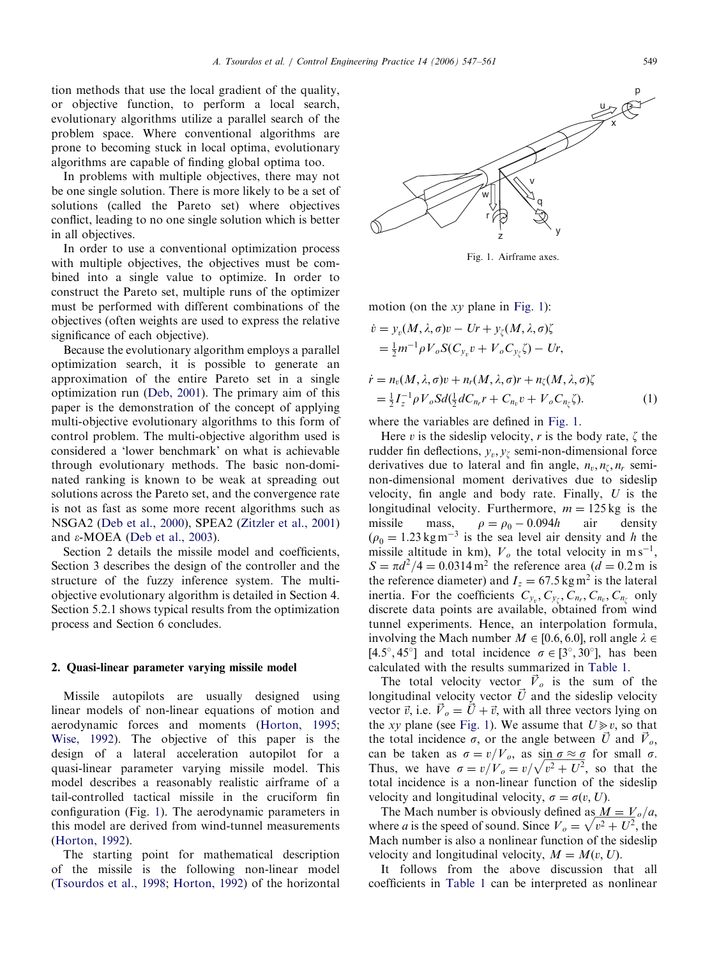tion methods that use the local gradient of the quality, or objective function, to perform a local search, evolutionary algorithms utilize a parallel search of the problem space. Where conventional algorithms are prone to becoming stuck in local optima, evolutionary algorithms are capable of finding global optima too.

In problems with multiple objectives, there may not be one single solution. There is more likely to be a set of solutions (called the Pareto set) where objectives conflict, leading to no one single solution which is better in all objectives.

In order to use a conventional optimization process with multiple objectives, the objectives must be combined into a single value to optimize. In order to construct the Pareto set, multiple runs of the optimizer must be performed with different combinations of the objectives (often weights are used to express the relative significance of each objective).

Because the evolutionary algorithm employs a parallel optimization search, it is possible to generate an approximation of the entire Pareto set in a single optimization run [\(Deb, 2001\)](#page-13-0). The primary aim of this paper is the demonstration of the concept of applying multi-objective evolutionary algorithms to this form of control problem. The multi-objective algorithm used is considered a 'lower benchmark' on what is achievable through evolutionary methods. The basic non-dominated ranking is known to be weak at spreading out solutions across the Pareto set, and the convergence rate is not as fast as some more recent algorithms such as NSGA2 ([Deb et al., 2000\)](#page-13-0), SPEA2 ([Zitzler et al., 2001](#page-14-0)) and  $\varepsilon$ -MOEA ([Deb et al., 2003](#page-13-0)).

Section 2 details the missile model and coefficients, Section 3 describes the design of the controller and the structure of the fuzzy inference system. The multiobjective evolutionary algorithm is detailed in Section 4. Section 5.2.1 shows typical results from the optimization process and Section 6 concludes.

#### 2. Quasi-linear parameter varying missile model

Missile autopilots are usually designed using linear models of non-linear equations of motion and aerodynamic forces and moments ([Horton, 1995;](#page-13-0) [Wise, 1992](#page-14-0)). The objective of this paper is the design of a lateral acceleration autopilot for a quasi-linear parameter varying missile model. This model describes a reasonably realistic airframe of a tail-controlled tactical missile in the cruciform fin configuration (Fig. 1). The aerodynamic parameters in this model are derived from wind-tunnel measurements ([Horton, 1992\)](#page-13-0).

The starting point for mathematical description of the missile is the following non-linear model ([Tsourdos et al., 1998](#page-14-0); [Horton, 1992\)](#page-13-0) of the horizontal  $=\frac{1}{2}I_{z}^{-1}\rho V_{o}Sd(\frac{1}{2}dC_{n_{r}}r+C_{n_{v}}v+V_{o}C_{n_{\zeta}}\zeta).$  (1)

 $\dot{r} = n_v(M, \lambda, \sigma)v + n_r(M, \lambda, \sigma)r + n_z(M, \lambda, \sigma)\zeta$ 

where the variables are defined in Fig. 1.

motion (on the  $xy$  plane in Fig. 1):  $\dot{v} = v_v(M, \lambda, \sigma)v - Ur + v_z(M, \lambda, \sigma)\zeta$  $=\frac{1}{2}m^{-1}\rho V_oS(C_{y_v}v + V_oC_{y_\zeta}\zeta) - Ur,$ 

Here v is the sideslip velocity, r is the body rate,  $\zeta$  the rudder fin deflections,  $y_n, y_\ell$  semi-non-dimensional force derivatives due to lateral and fin angle,  $n_v, n_c, n_r$  seminon-dimensional moment derivatives due to sideslip velocity, fin angle and body rate. Finally,  $U$  is the longitudinal velocity. Furthermore,  $m = 125$  kg is the missile mass,  $\rho = \rho_0 - 0.094h$  air density  $(\rho_0 = 1.23 \text{ kg m}^{-3}$  is the sea level air density and h the missile altitude in km),  $V<sub>o</sub>$  the total velocity in m s<sup>-1</sup>,  $S = \pi d^2/4 = 0.0314 \,\text{m}^2$  the reference area  $(d = 0.2 \,\text{m})$  is the reference diameter) and  $I_z = 67.5 \text{ kg m}^2$  is the lateral inertia. For the coefficients  $C_{y_n}, C_{y_r}, C_{n_r}, C_{n_r}, C_{n_r}$  only discrete data points are available, obtained from wind tunnel experiments. Hence, an interpolation formula, involving the Mach number  $M \in [0.6, 6.0]$ , roll angle  $\lambda \in$ [4.5°, 45°] and total incidence  $\sigma \in [3^{\circ}, 30^{\circ}]$ , has been calculated with the results summarized in [Table 1.](#page-3-0)

The total velocity vector  $\vec{V}_o$  is the sum of the longitudinal velocity vector  $\vec{U}$  and the sideslip velocity vector  $\vec{v}$ , i.e.  $\vec{V}_o = \vec{U} + \vec{v}$ , with all three vectors lying on the xy plane (see Fig. 1). We assume that  $U \gg v$ , so that the total incidence  $\sigma$ , or the angle between  $\vec{U}$  and  $\vec{V}_o$ , can be taken as  $\sigma = v/V_o$ , as  $\sin \sigma \approx \sigma$  for small  $\sigma$ . Thus, we have  $\sigma = v/V_o$ , as  $\frac{\sin \theta \approx \theta}{v^2 + U^2}$  for small  $\theta$ .<br>Thus, we have  $\sigma = v/V_o = v/\sqrt{v^2 + U^2}$ , so that the total incidence is a non-linear function of the sideslip velocity and longitudinal velocity,  $\sigma = \sigma(v, U)$ .

The Mach number is obviously defined as  $M = V_o/a$ ; The wach number is obviously defined as  $\frac{M}{N} = V_o/a$ ,<br>where *a* is the speed of sound. Since  $V_o = \sqrt{v^2 + U^2}$ , the Mach number is also a nonlinear function of the sideslip velocity and longitudinal velocity,  $M = M(v, U)$ .

It follows from the above discussion that all coefficients in [Table 1](#page-3-0) can be interpreted as nonlinear



Fig. 1. Airframe axes.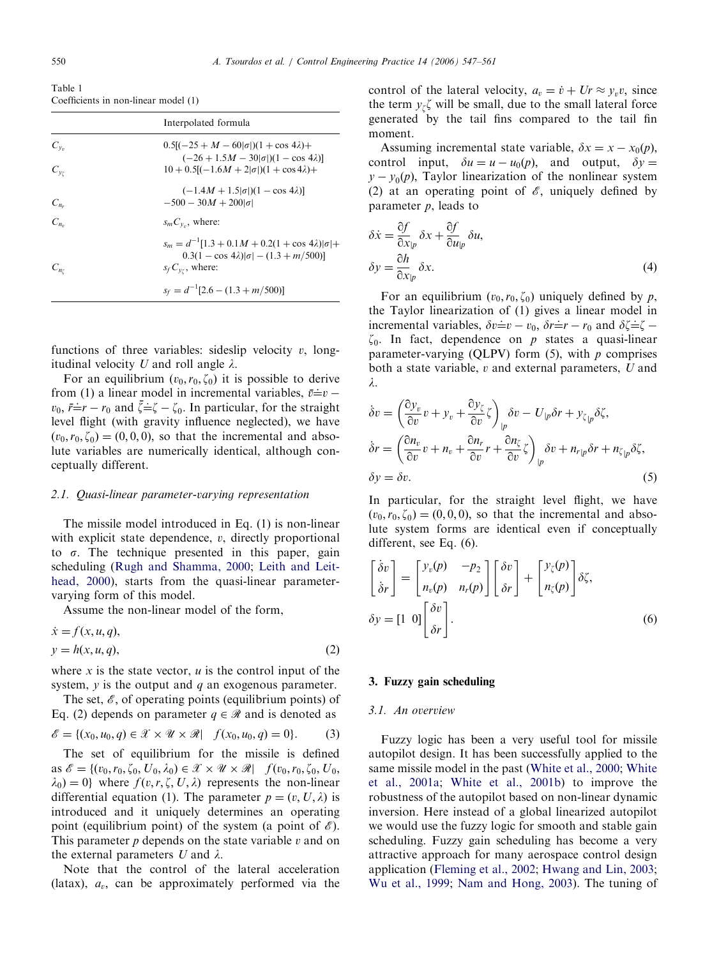<span id="page-3-0"></span>Table 1 Coefficients in non-linear model (1)

|                        | Interpolated formula                                                                                                                                    |
|------------------------|---------------------------------------------------------------------------------------------------------------------------------------------------------|
| $C_{v_n}$<br>$C_{y_7}$ | $0.5[(-25 + M - 60]\sigma])(1 + \cos 4\lambda) +$<br>$(-26 + 1.5M - 30\sigma)(1 - \cos 4\lambda)$<br>$10 + 0.5[(-1.6M + 2\sigma])(1 + \cos 4\lambda) +$ |
| $C_{n_r}$              | $(-1.4M + 1.5 \sigma )(1 - \cos 4\lambda)$<br>$-500 - 30M + 200 \sigma $                                                                                |
| $C_{n}$                | $s_m C_{v_n}$ , where:                                                                                                                                  |
| $C_{n_r}$              | $s_m = d^{-1}[1.3 + 0.1M + 0.2(1 + \cos 4\lambda)]\sigma$<br>$0.3(1 - \cos 4\lambda) \sigma  - (1.3 + m/500)$<br>$s_f C_{v_r}$ , where:                 |
|                        | $s_f = d^{-1}[2.6 - (1.3 + m/500)]$                                                                                                                     |

functions of three variables: sideslip velocity  $v$ , longitudinal velocity U and roll angle  $\lambda$ .

For an equilibrium  $(v_0, r_0, \zeta_0)$  it is possible to derive from (1) a linear model in incremental variables,  $\vec{v} = v$  $v_0$ ,  $\vec{r} = r - r_0$  and  $\vec{\zeta} = \zeta - \zeta_0$ . In particular, for the straight level flight (with gravity influence neglected), we have  $(v_0, r_0, \zeta_0) = (0, 0, 0)$ , so that the incremental and absolute variables are numerically identical, although conceptually different.

# 2.1. Quasi-linear parameter-varying representation

The missile model introduced in Eq. (1) is non-linear with explicit state dependence, v, directly proportional to  $\sigma$ . The technique presented in this paper, gain scheduling [\(Rugh and Shamma, 2000](#page-13-0); [Leith and Leit](#page-13-0)[head, 2000\)](#page-13-0), starts from the quasi-linear parametervarying form of this model.

Assume the non-linear model of the form,

$$
\begin{aligned} \n\dot{x} &= f(x, u, q), \\ \ny &= h(x, u, q), \tag{2} \n\end{aligned}
$$

where x is the state vector,  $u$  is the control input of the system,  $y$  is the output and  $q$  an exogenous parameter.

The set,  $\mathscr{E}$ , of operating points (equilibrium points) of Eq. (2) depends on parameter  $q \in \mathcal{R}$  and is denoted as

$$
\mathscr{E} = \{ (x_0, u_0, q) \in \mathscr{X} \times \mathscr{U} \times \mathscr{R} | f(x_0, u_0, q) = 0 \}. \tag{3}
$$

The set of equilibrium for the missile is defined as  $\mathscr{E} = \{(v_0, r_0, \zeta_0, U_0, \lambda_0) \in \mathscr{X} \times \mathscr{U} \times \mathscr{R} \mid f(v_0, r_0, \zeta_0, U_0,$  $\lambda_0$  = 0} where  $f(v, r, \zeta, U, \lambda)$  represents the non-linear differential equation (1). The parameter  $p = (v, U, \lambda)$  is introduced and it uniquely determines an operating point (equilibrium point) of the system (a point of  $\mathscr E$ ). This parameter  $p$  depends on the state variable  $v$  and on the external parameters U and  $\lambda$ .

Note that the control of the lateral acceleration (latax),  $a<sub>v</sub>$ , can be approximately performed via the control of the lateral velocity,  $a_v = \dot{v} + Ur \approx y_v v$ , since the term  $y_f \zeta$  will be small, due to the small lateral force generated by the tail fins compared to the tail fin moment.

Assuming incremental state variable,  $\delta x = x - x_0(p)$ , control input,  $\delta u = u - u_0(p)$ , and output,  $\delta y =$  $y - y_0(p)$ , Taylor linearization of the nonlinear system (2) at an operating point of  $\mathscr E$ , uniquely defined by parameter  $p$ , leads to

$$
\delta \dot{x} = \frac{\partial f}{\partial x_{lp}} \delta x + \frac{\partial f}{\partial u_{lp}} \delta u,
$$
  
\n
$$
\delta y = \frac{\partial h}{\partial x_{lp}} \delta x.
$$
 (4)

For an equilibrium  $(v_0, r_0, \zeta_0)$  uniquely defined by p, the Taylor linearization of (1) gives a linear model in incremental variables,  $\delta v = v_0$ ,  $\delta r = r - r_0$  and  $\delta \zeta = \zeta$  $\zeta_0$ . In fact, dependence on p states a quasi-linear parameter-varying (QLPV) form  $(5)$ , with p comprises both a state variable, v and external parameters, U and  $\lambda$ .

$$
\dot{\delta}v = \left(\frac{\partial y_v}{\partial v}v + y_v + \frac{\partial y_{\zeta}}{\partial v}\zeta\right)_{|p}\delta v - U_{|p}\delta r + y_{\zeta|p}\delta \zeta,
$$
\n
$$
\dot{\delta}r = \left(\frac{\partial n_v}{\partial v}v + n_v + \frac{\partial n_r}{\partial v}r + \frac{\partial n_{\zeta}}{\partial v}\zeta\right)_{|p}\delta v + n_{r|p}\delta r + n_{\zeta|p}\delta \zeta,
$$
\n
$$
\delta y = \delta v.
$$
\n(5)

In particular, for the straight level flight, we have  $(v_0, r_0, \zeta_0) = (0, 0, 0)$ , so that the incremental and absolute system forms are identical even if conceptually different, see Eq. (6).

$$
\begin{bmatrix}\n\dot{\delta}v \\
\dot{\delta}r\n\end{bmatrix} = \begin{bmatrix}\ny_v(p) & -p_2 \\
n_v(p) & n_r(p)\n\end{bmatrix} \begin{bmatrix}\n\delta v \\
\delta r\n\end{bmatrix} + \begin{bmatrix}\ny_{\zeta}(p) \\
n_{\zeta}(p)\n\end{bmatrix} \delta \zeta,
$$
\n
$$
\delta y = \begin{bmatrix} 1 & 0 \end{bmatrix} \begin{bmatrix} \delta v \\
\delta r \end{bmatrix}.
$$
\n(6)

## 3. Fuzzy gain scheduling

#### 3.1. An overview

Fuzzy logic has been a very useful tool for missile autopilot design. It has been successfully applied to the same missile model in the past [\(White et al., 2000;](#page-14-0) [White](#page-14-0) [et al., 2001a](#page-14-0); [White et al., 2001b\)](#page-14-0) to improve the robustness of the autopilot based on non-linear dynamic inversion. Here instead of a global linearized autopilot we would use the fuzzy logic for smooth and stable gain scheduling. Fuzzy gain scheduling has become a very attractive approach for many aerospace control design application [\(Fleming et al., 2002;](#page-13-0) [Hwang and Lin, 2003;](#page-13-0) [Wu et al., 1999;](#page-14-0) [Nam and Hong, 2003\)](#page-13-0). The tuning of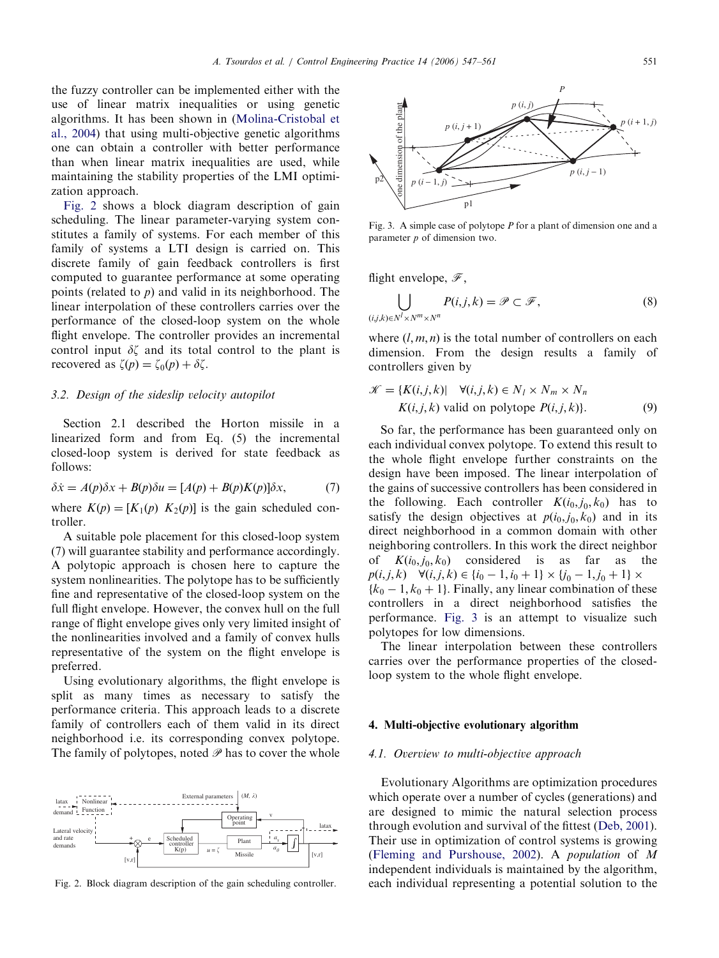the fuzzy controller can be implemented either with the use of linear matrix inequalities or using genetic algorithms. It has been shown in ([Molina-Cristobal et](#page-13-0) [al., 2004\)](#page-13-0) that using multi-objective genetic algorithms one can obtain a controller with better performance than when linear matrix inequalities are used, while maintaining the stability properties of the LMI optimization approach.

Fig. 2 shows a block diagram description of gain scheduling. The linear parameter-varying system constitutes a family of systems. For each member of this family of systems a LTI design is carried on. This discrete family of gain feedback controllers is first computed to guarantee performance at some operating points (related to  $p$ ) and valid in its neighborhood. The linear interpolation of these controllers carries over the performance of the closed-loop system on the whole flight envelope. The controller provides an incremental control input  $\delta \zeta$  and its total control to the plant is recovered as  $\zeta(p) = \zeta_0(p) + \delta \zeta$ .

# 3.2. Design of the sideslip velocity autopilot

Section 2.1 described the Horton missile in a linearized form and from Eq. (5) the incremental closed-loop system is derived for state feedback as follows:

$$
\delta \dot{x} = A(p)\delta x + B(p)\delta u = [A(p) + B(p)K(p)]\delta x, \tag{7}
$$

where  $K(p) = [K_1(p) \ K_2(p)]$  is the gain scheduled controller.

A suitable pole placement for this closed-loop system (7) will guarantee stability and performance accordingly. A polytopic approach is chosen here to capture the system nonlinearities. The polytope has to be sufficiently fine and representative of the closed-loop system on the full flight envelope. However, the convex hull on the full range of flight envelope gives only very limited insight of the nonlinearities involved and a family of convex hulls representative of the system on the flight envelope is preferred.

Using evolutionary algorithms, the flight envelope is split as many times as necessary to satisfy the performance criteria. This approach leads to a discrete family of controllers each of them valid in its direct neighborhood i.e. its corresponding convex polytope. The family of polytopes, noted  $\mathscr P$  has to cover the whole



Fig. 2. Block diagram description of the gain scheduling controller.



Fig. 3. A simple case of polytope  $P$  for a plant of dimension one and a parameter  $p$  of dimension two.

flight envelope,  $\mathscr{F}$ ,

$$
\bigcup_{(i,j,k)\in N^l\times N^m\times N^n} P(i,j,k) = \mathcal{P} \subset \mathcal{F},\tag{8}
$$

where  $(l, m, n)$  is the total number of controllers on each dimension. From the design results a family of controllers given by

$$
\mathcal{K} = \{K(i,j,k)| \quad \forall (i,j,k) \in N_l \times N_m \times N_n
$$
  

$$
K(i,j,k) \text{ valid on polytope } P(i,j,k)\}.
$$
 (9)

So far, the performance has been guaranteed only on each individual convex polytope. To extend this result to the whole flight envelope further constraints on the design have been imposed. The linear interpolation of the gains of successive controllers has been considered in the following. Each controller  $K(i_0, j_0, k_0)$  has to satisfy the design objectives at  $p(i_0, j_0, k_0)$  and in its direct neighborhood in a common domain with other neighboring controllers. In this work the direct neighbor of  $K(i_0, j_0, k_0)$  considered is as far as the  $p(i, j, k)$   $\forall (i, j, k) \in \{i_0 - 1, i_0 + 1\} \times \{j_0 - 1, j_0 + 1\}$  ${k_0 - 1, k_0 + 1}$ . Finally, any linear combination of these controllers in a direct neighborhood satisfies the performance. Fig. 3 is an attempt to visualize such polytopes for low dimensions.

The linear interpolation between these controllers carries over the performance properties of the closedloop system to the whole flight envelope.

# 4. Multi-objective evolutionary algorithm

## 4.1. Overview to multi-objective approach

Evolutionary Algorithms are optimization procedures which operate over a number of cycles (generations) and are designed to mimic the natural selection process through evolution and survival of the fittest [\(Deb, 2001\)](#page-13-0). Their use in optimization of control systems is growing ([Fleming and Purshouse, 2002\)](#page-13-0). A population of M independent individuals is maintained by the algorithm, each individual representing a potential solution to the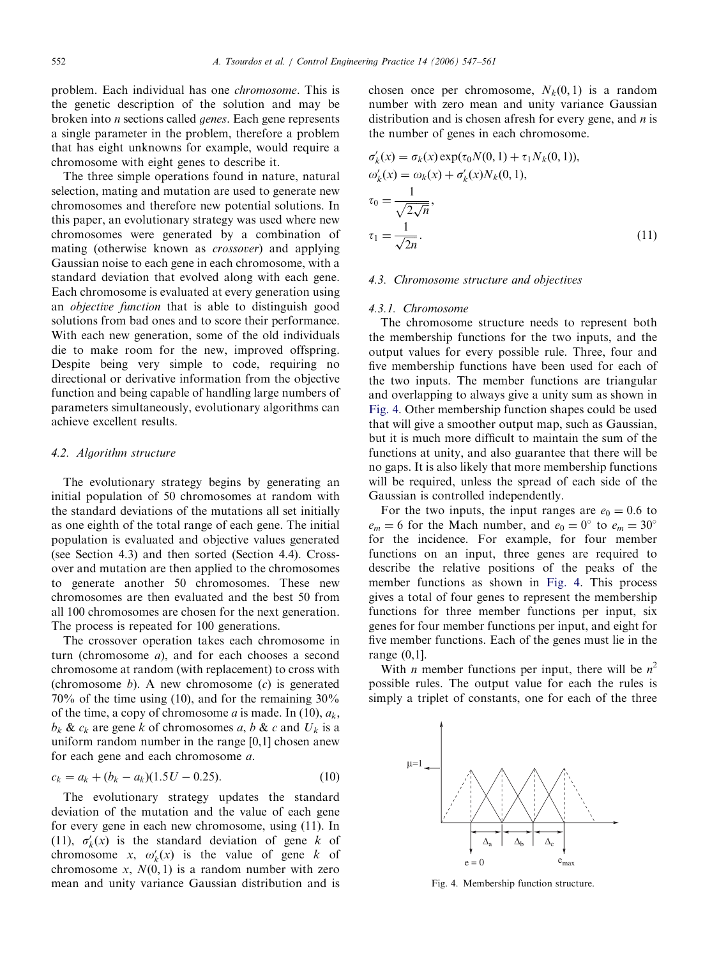problem. Each individual has one chromosome. This is the genetic description of the solution and may be broken into n sections called genes. Each gene represents a single parameter in the problem, therefore a problem that has eight unknowns for example, would require a chromosome with eight genes to describe it.

The three simple operations found in nature, natural selection, mating and mutation are used to generate new chromosomes and therefore new potential solutions. In this paper, an evolutionary strategy was used where new chromosomes were generated by a combination of mating (otherwise known as crossover) and applying Gaussian noise to each gene in each chromosome, with a standard deviation that evolved along with each gene. Each chromosome is evaluated at every generation using an objective function that is able to distinguish good solutions from bad ones and to score their performance. With each new generation, some of the old individuals die to make room for the new, improved offspring. Despite being very simple to code, requiring no directional or derivative information from the objective function and being capable of handling large numbers of parameters simultaneously, evolutionary algorithms can achieve excellent results.

# 4.2. Algorithm structure

The evolutionary strategy begins by generating an initial population of 50 chromosomes at random with the standard deviations of the mutations all set initially as one eighth of the total range of each gene. The initial population is evaluated and objective values generated (see Section 4.3) and then sorted (Section 4.4). Crossover and mutation are then applied to the chromosomes to generate another 50 chromosomes. These new chromosomes are then evaluated and the best 50 from all 100 chromosomes are chosen for the next generation. The process is repeated for 100 generations.

The crossover operation takes each chromosome in turn (chromosome a), and for each chooses a second chromosome at random (with replacement) to cross with (chromosome  $b$ ). A new chromosome  $(c)$  is generated 70% of the time using (10), and for the remaining 30% of the time, a copy of chromosome a is made. In (10),  $a_k$ ,  $b_k$  &  $c_k$  are gene k of chromosomes a, b & c and  $U_k$  is a uniform random number in the range [0,1] chosen anew for each gene and each chromosome a.

$$
c_k = a_k + (b_k - a_k)(1.5U - 0.25). \tag{10}
$$

The evolutionary strategy updates the standard deviation of the mutation and the value of each gene for every gene in each new chromosome, using (11). In (11),  $\sigma'_k(x)$  is the standard deviation of gene k of chromosome x,  $\omega'_k(x)$  is the value of gene k of chromosome  $x$ ,  $N(0, 1)$  is a random number with zero mean and unity variance Gaussian distribution and is chosen once per chromosome,  $N_k(0, 1)$  is a random number with zero mean and unity variance Gaussian distribution and is chosen afresh for every gene, and  $n$  is the number of genes in each chromosome.

$$
\sigma'_k(x) = \sigma_k(x) \exp(\tau_0 N(0, 1) + \tau_1 N_k(0, 1)),
$$
  
\n
$$
\omega'_k(x) = \omega_k(x) + \sigma'_k(x) N_k(0, 1),
$$
  
\n
$$
\tau_0 = \frac{1}{\sqrt{2\sqrt{n}}},
$$
  
\n
$$
\tau_1 = \frac{1}{\sqrt{2n}}.
$$
\n(11)

#### 4.3. Chromosome structure and objectives

#### 4.3.1. Chromosome

The chromosome structure needs to represent both the membership functions for the two inputs, and the output values for every possible rule. Three, four and five membership functions have been used for each of the two inputs. The member functions are triangular and overlapping to always give a unity sum as shown in Fig. 4. Other membership function shapes could be used that will give a smoother output map, such as Gaussian, but it is much more difficult to maintain the sum of the functions at unity, and also guarantee that there will be no gaps. It is also likely that more membership functions will be required, unless the spread of each side of the Gaussian is controlled independently.

For the two inputs, the input ranges are  $e_0 = 0.6$  to  $e_m = 6$  for the Mach number, and  $e_0 = 0^\circ$  to  $e_m = 30^\circ$ for the incidence. For example, for four member functions on an input, three genes are required to describe the relative positions of the peaks of the member functions as shown in Fig. 4. This process gives a total of four genes to represent the membership functions for three member functions per input, six genes for four member functions per input, and eight for five member functions. Each of the genes must lie in the range (0,1].

With *n* member functions per input, there will be  $n^2$ possible rules. The output value for each the rules is simply a triplet of constants, one for each of the three



Fig. 4. Membership function structure.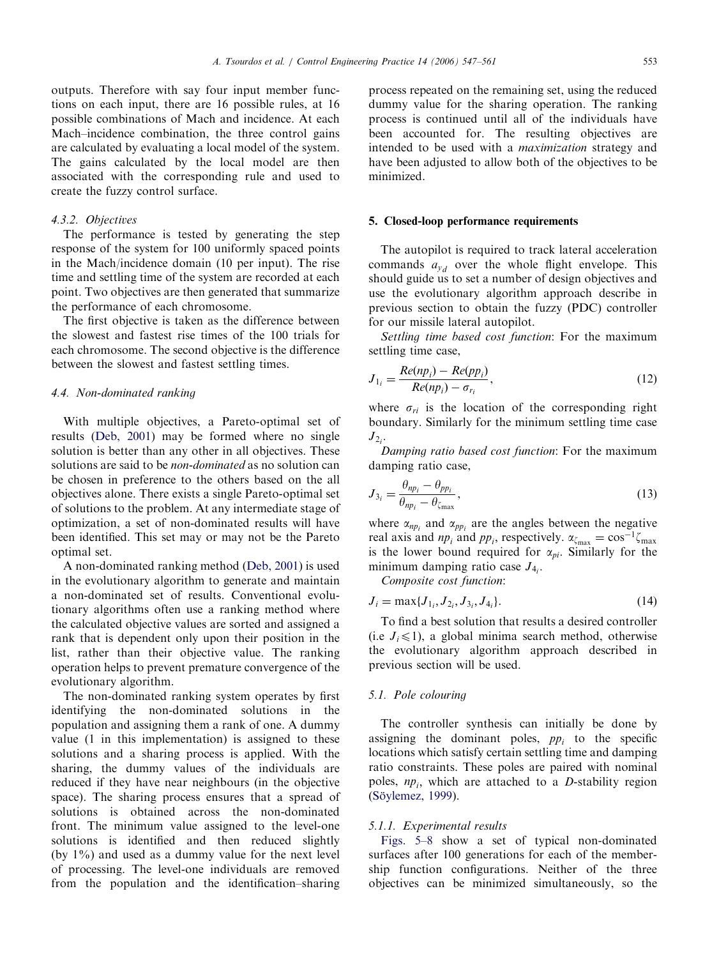outputs. Therefore with say four input member functions on each input, there are 16 possible rules, at 16 possible combinations of Mach and incidence. At each Mach–incidence combination, the three control gains are calculated by evaluating a local model of the system. The gains calculated by the local model are then associated with the corresponding rule and used to create the fuzzy control surface.

## 4.3.2. Objectives

The performance is tested by generating the step response of the system for 100 uniformly spaced points in the Mach/incidence domain (10 per input). The rise time and settling time of the system are recorded at each point. Two objectives are then generated that summarize the performance of each chromosome.

The first objective is taken as the difference between the slowest and fastest rise times of the 100 trials for each chromosome. The second objective is the difference between the slowest and fastest settling times.

# 4.4. Non-dominated ranking

With multiple objectives, a Pareto-optimal set of results ([Deb, 2001](#page-13-0)) may be formed where no single solution is better than any other in all objectives. These solutions are said to be *non-dominated* as no solution can be chosen in preference to the others based on the all objectives alone. There exists a single Pareto-optimal set of solutions to the problem. At any intermediate stage of optimization, a set of non-dominated results will have been identified. This set may or may not be the Pareto optimal set.

A non-dominated ranking method [\(Deb, 2001\)](#page-13-0) is used in the evolutionary algorithm to generate and maintain a non-dominated set of results. Conventional evolutionary algorithms often use a ranking method where the calculated objective values are sorted and assigned a rank that is dependent only upon their position in the list, rather than their objective value. The ranking operation helps to prevent premature convergence of the evolutionary algorithm.

The non-dominated ranking system operates by first identifying the non-dominated solutions in the population and assigning them a rank of one. A dummy value (1 in this implementation) is assigned to these solutions and a sharing process is applied. With the sharing, the dummy values of the individuals are reduced if they have near neighbours (in the objective space). The sharing process ensures that a spread of solutions is obtained across the non-dominated front. The minimum value assigned to the level-one solutions is identified and then reduced slightly (by  $1\%$ ) and used as a dummy value for the next level of processing. The level-one individuals are removed from the population and the identification–sharing process repeated on the remaining set, using the reduced dummy value for the sharing operation. The ranking process is continued until all of the individuals have been accounted for. The resulting objectives are intended to be used with a maximization strategy and have been adjusted to allow both of the objectives to be minimized.

#### 5. Closed-loop performance requirements

The autopilot is required to track lateral acceleration commands  $a_{v_d}$  over the whole flight envelope. This should guide us to set a number of design objectives and use the evolutionary algorithm approach describe in previous section to obtain the fuzzy (PDC) controller for our missile lateral autopilot.

Settling time based cost function: For the maximum settling time case,

$$
J_{1_i} = \frac{Re(np_i) - Re(pp_i)}{Re(np_i) - \sigma_{r_i}},
$$
\n(12)

where  $\sigma_{ri}$  is the location of the corresponding right boundary. Similarly for the minimum settling time case  $J_{2_i}$ .

Damping ratio based cost function: For the maximum damping ratio case,

$$
J_{3_i} = \frac{\theta_{np_i} - \theta_{pp_i}}{\theta_{np_i} - \theta_{\zeta_{\text{max}}}},
$$
\n(13)

where  $\alpha_{np_i}$  and  $\alpha_{pp_i}$  are the angles between the negative real axis and  $np_i$  and  $pp_i$ , respectively.  $\alpha_{\zeta_{\text{max}}} = \cos^{-1}\zeta_{\text{max}}$ is the lower bound required for  $\alpha_{pi}$ . Similarly for the minimum damping ratio case  $J_{4_i}$ .

Composite cost function:

$$
J_i = \max\{J_{1_i}, J_{2_i}, J_{3_i}, J_{4_i}\}.
$$
\n(14)

To find a best solution that results a desired controller (i.e  $J_i \leq 1$ ), a global minima search method, otherwise the evolutionary algorithm approach described in previous section will be used.

#### 5.1. Pole colouring

The controller synthesis can initially be done by assigning the dominant poles,  $pp_i$  to the specific locations which satisfy certain settling time and damping ratio constraints. These poles are paired with nominal poles,  $np_i$ , which are attached to a D-stability region (Söylemez, 1999).

## 5.1.1. Experimental results

[Figs. 5–8](#page-7-0) show a set of typical non-dominated surfaces after 100 generations for each of the membership function configurations. Neither of the three objectives can be minimized simultaneously, so the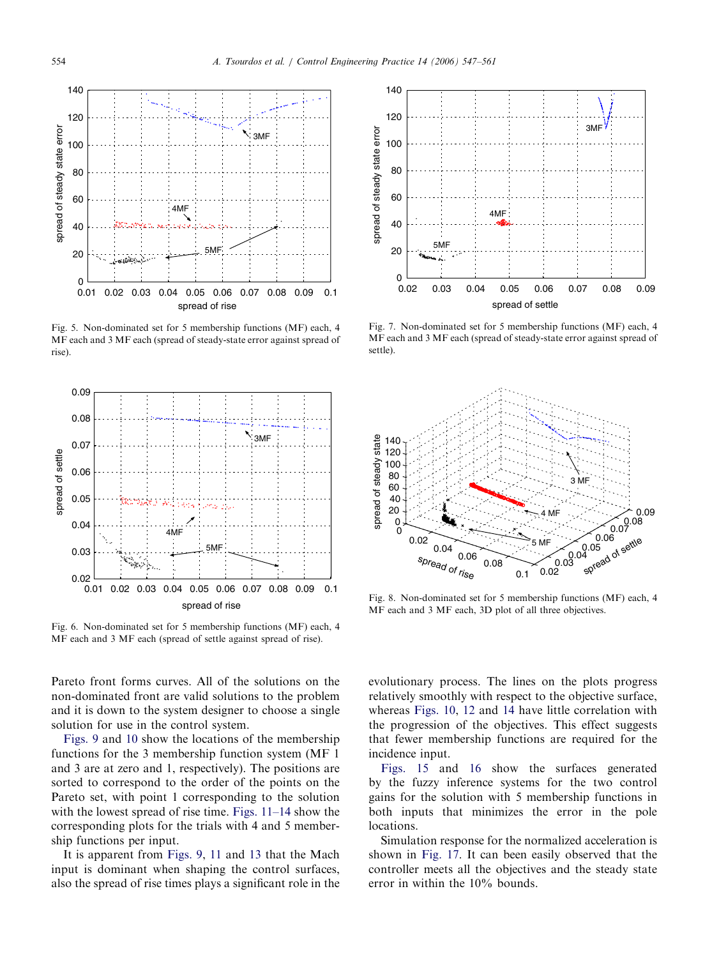<span id="page-7-0"></span>

Fig. 5. Non-dominated set for 5 membership functions (MF) each, 4 MF each and 3 MF each (spread of steady-state error against spread of rise).



Fig. 6. Non-dominated set for 5 membership functions (MF) each, 4 MF each and 3 MF each (spread of settle against spread of rise).

Pareto front forms curves. All of the solutions on the non-dominated front are valid solutions to the problem and it is down to the system designer to choose a single solution for use in the control system.

[Figs. 9](#page-8-0) and [10](#page-8-0) show the locations of the membership functions for the 3 membership function system (MF 1 and 3 are at zero and 1, respectively). The positions are sorted to correspond to the order of the points on the Pareto set, with point 1 corresponding to the solution with the lowest spread of rise time. [Figs. 11–14](#page-8-0) show the corresponding plots for the trials with 4 and 5 membership functions per input.

It is apparent from [Figs. 9,](#page-8-0) [11](#page-8-0) and [13](#page-9-0) that the Mach input is dominant when shaping the control surfaces, also the spread of rise times plays a significant role in the



Fig. 7. Non-dominated set for 5 membership functions (MF) each, 4 MF each and 3 MF each (spread of steady-state error against spread of settle).



Fig. 8. Non-dominated set for 5 membership functions (MF) each, 4 MF each and 3 MF each, 3D plot of all three objectives.

evolutionary process. The lines on the plots progress relatively smoothly with respect to the objective surface, whereas [Figs. 10](#page-8-0), [12](#page-8-0) and [14](#page-9-0) have little correlation with the progression of the objectives. This effect suggests that fewer membership functions are required for the incidence input.

[Figs. 15](#page-9-0) and [16](#page-9-0) show the surfaces generated by the fuzzy inference systems for the two control gains for the solution with 5 membership functions in both inputs that minimizes the error in the pole locations.

Simulation response for the normalized acceleration is shown in [Fig. 17](#page-10-0). It can been easily observed that the controller meets all the objectives and the steady state error in within the 10% bounds.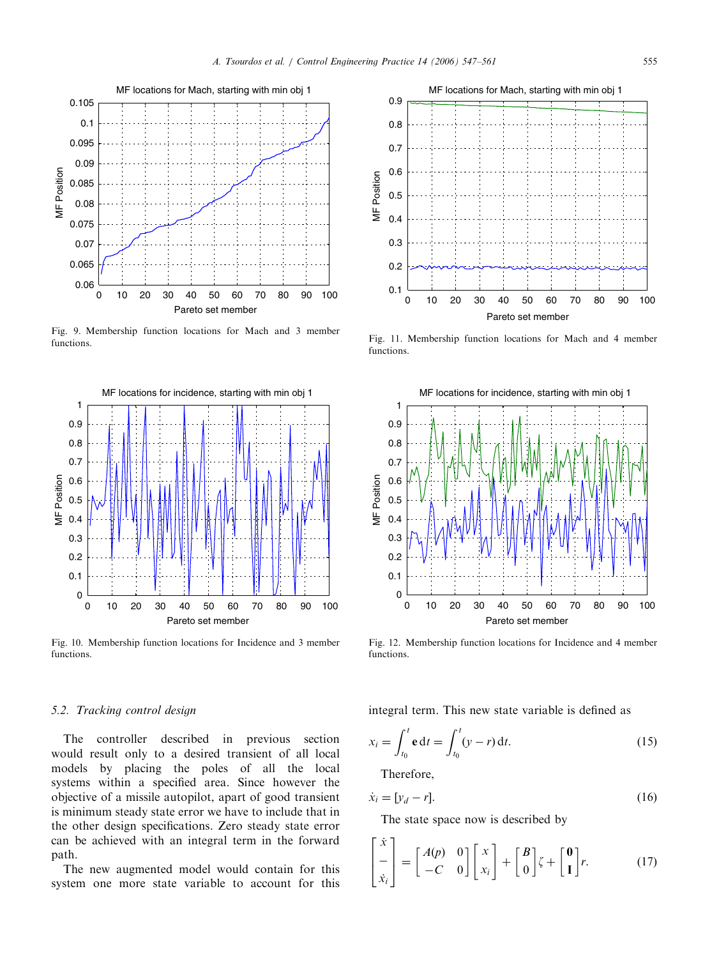<span id="page-8-0"></span>

Fig. 9. Membership function locations for Mach and 3 member functions.



Fig. 10. Membership function locations for Incidence and 3 member functions.

# 5.2. Tracking control design

The controller described in previous section would result only to a desired transient of all local models by placing the poles of all the local systems within a specified area. Since however the objective of a missile autopilot, apart of good transient is minimum steady state error we have to include that in the other design specifications. Zero steady state error can be achieved with an integral term in the forward path.

The new augmented model would contain for this system one more state variable to account for this



Fig. 11. Membership function locations for Mach and 4 member functions.



Fig. 12. Membership function locations for Incidence and 4 member functions.

integral term. This new state variable is defined as

$$
x_i = \int_{t_0}^t \mathbf{e} \, dt = \int_{t_0}^t (y - r) \, dt. \tag{15}
$$

Therefore,

$$
\dot{x}_i = [y_d - r].\tag{16}
$$

The state space now is described by

$$
\begin{bmatrix} \dot{x} \\ - \\ \dot{x}_i \end{bmatrix} = \begin{bmatrix} A(p) & 0 \\ -C & 0 \end{bmatrix} \begin{bmatrix} x \\ x_i \end{bmatrix} + \begin{bmatrix} B \\ 0 \end{bmatrix} \zeta + \begin{bmatrix} \mathbf{0} \\ \mathbf{I} \end{bmatrix} r.
$$
 (17)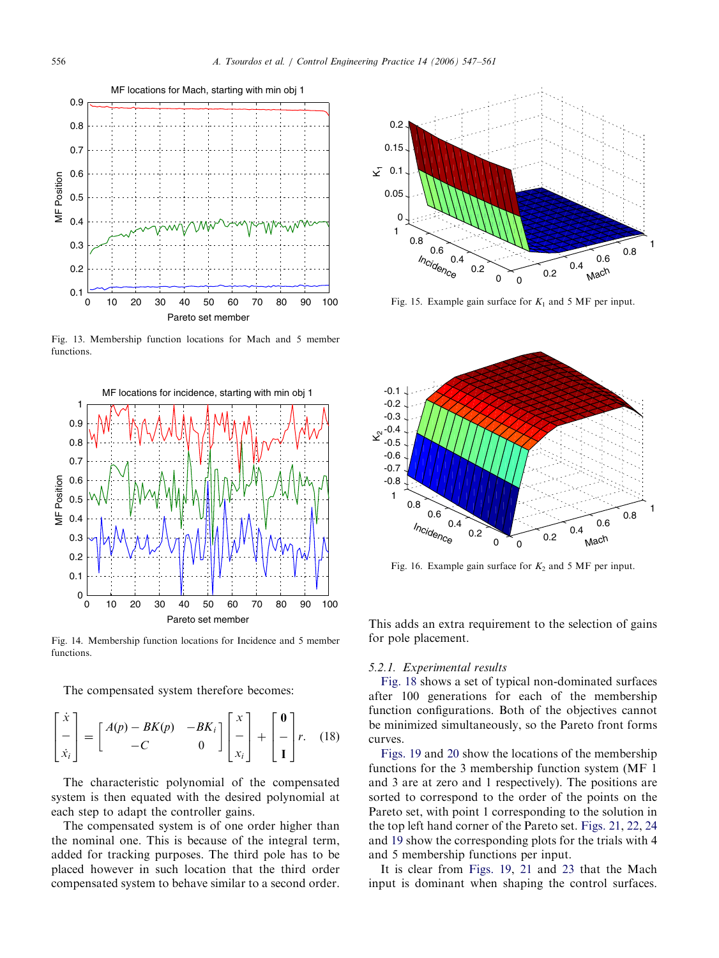<span id="page-9-0"></span>

Fig. 13. Membership function locations for Mach and 5 member functions.



Fig. 14. Membership function locations for Incidence and 5 member functions.

The compensated system therefore becomes:

$$
\begin{bmatrix} \dot{x} \\ - \\ \dot{x}_i \end{bmatrix} = \begin{bmatrix} A(p) - BK(p) & -BK_i \\ -C & 0 \end{bmatrix} \begin{bmatrix} x \\ - \\ x_i \end{bmatrix} + \begin{bmatrix} 0 \\ - \\ 1 \end{bmatrix} r. \quad (18)
$$

The characteristic polynomial of the compensated system is then equated with the desired polynomial at each step to adapt the controller gains.

The compensated system is of one order higher than the nominal one. This is because of the integral term, added for tracking purposes. The third pole has to be placed however in such location that the third order compensated system to behave similar to a second order.



Fig. 15. Example gain surface for  $K_1$  and 5 MF per input.



Fig. 16. Example gain surface for  $K_2$  and 5 MF per input.

This adds an extra requirement to the selection of gains for pole placement.

## 5.2.1. Experimental results

[Fig. 18](#page-10-0) shows a set of typical non-dominated surfaces after 100 generations for each of the membership function configurations. Both of the objectives cannot be minimized simultaneously, so the Pareto front forms curves.

[Figs. 19](#page-10-0) and [20](#page-10-0) show the locations of the membership functions for the 3 membership function system (MF 1 and 3 are at zero and 1 respectively). The positions are sorted to correspond to the order of the points on the Pareto set, with point 1 corresponding to the solution in the top left hand corner of the Pareto set. [Figs. 21,](#page-11-0) [22,](#page-11-0) [24](#page-11-0) and [19](#page-10-0) show the corresponding plots for the trials with 4 and 5 membership functions per input.

It is clear from [Figs. 19,](#page-10-0) [21](#page-11-0) and [23](#page-11-0) that the Mach input is dominant when shaping the control surfaces.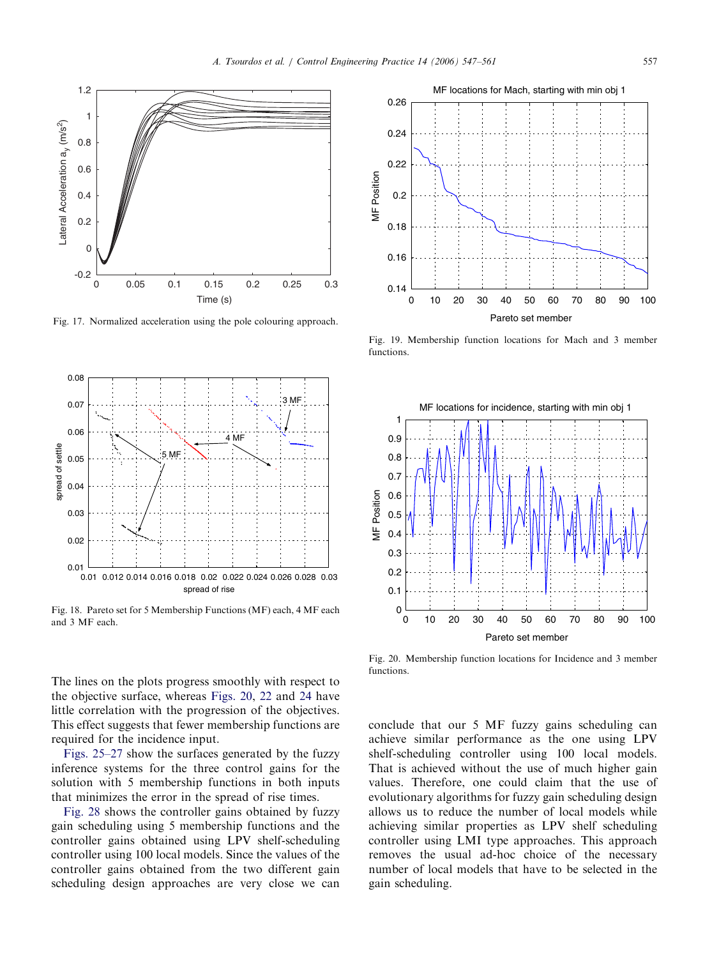<span id="page-10-0"></span>

Fig. 17. Normalized acceleration using the pole colouring approach.



Fig. 18. Pareto set for 5 Membership Functions (MF) each, 4 MF each and 3 MF each.

The lines on the plots progress smoothly with respect to the objective surface, whereas Figs. 20, [22](#page-11-0) and [24](#page-11-0) have little correlation with the progression of the objectives. This effect suggests that fewer membership functions are required for the incidence input.

[Figs. 25–27](#page-11-0) show the surfaces generated by the fuzzy inference systems for the three control gains for the solution with 5 membership functions in both inputs that minimizes the error in the spread of rise times.

[Fig. 28](#page-12-0) shows the controller gains obtained by fuzzy gain scheduling using 5 membership functions and the controller gains obtained using LPV shelf-scheduling controller using 100 local models. Since the values of the controller gains obtained from the two different gain scheduling design approaches are very close we can



Fig. 19. Membership function locations for Mach and 3 member functions.



Fig. 20. Membership function locations for Incidence and 3 member functions.

conclude that our 5 MF fuzzy gains scheduling can achieve similar performance as the one using LPV shelf-scheduling controller using 100 local models. That is achieved without the use of much higher gain values. Therefore, one could claim that the use of evolutionary algorithms for fuzzy gain scheduling design allows us to reduce the number of local models while achieving similar properties as LPV shelf scheduling controller using LMI type approaches. This approach removes the usual ad-hoc choice of the necessary number of local models that have to be selected in the gain scheduling.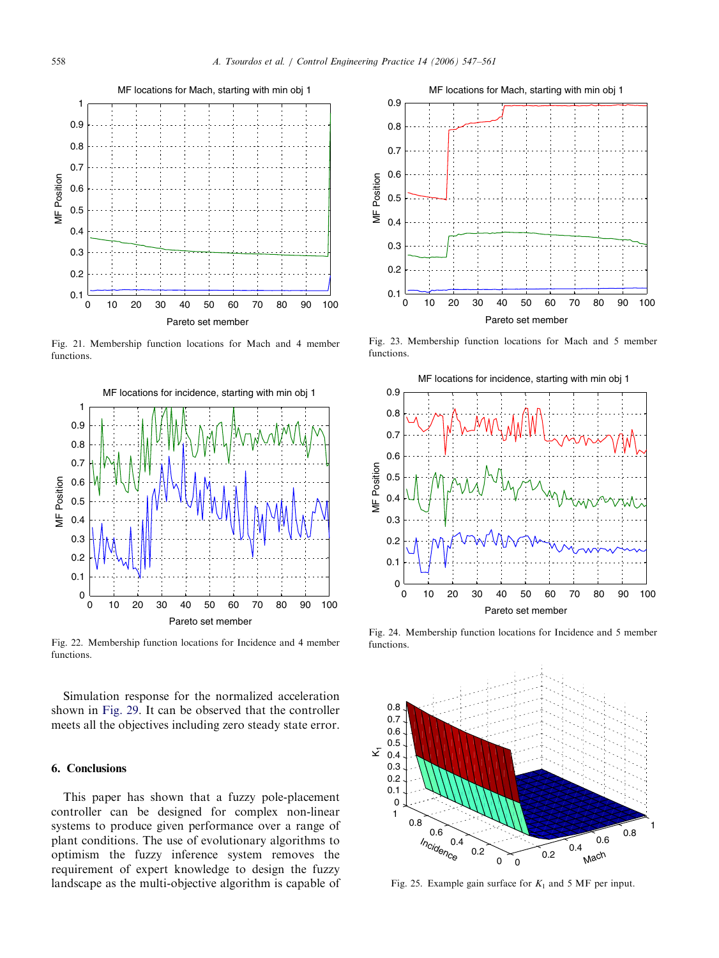<span id="page-11-0"></span>

Fig. 21. Membership function locations for Mach and 4 member functions.



Fig. 22. Membership function locations for Incidence and 4 member functions.

Simulation response for the normalized acceleration shown in [Fig. 29.](#page-12-0) It can be observed that the controller meets all the objectives including zero steady state error.

# 6. Conclusions

This paper has shown that a fuzzy pole-placement controller can be designed for complex non-linear systems to produce given performance over a range of plant conditions. The use of evolutionary algorithms to optimism the fuzzy inference system removes the requirement of expert knowledge to design the fuzzy landscape as the multi-objective algorithm is capable of



Fig. 23. Membership function locations for Mach and 5 member functions.



Fig. 24. Membership function locations for Incidence and 5 member functions.



Fig. 25. Example gain surface for  $K_1$  and 5 MF per input.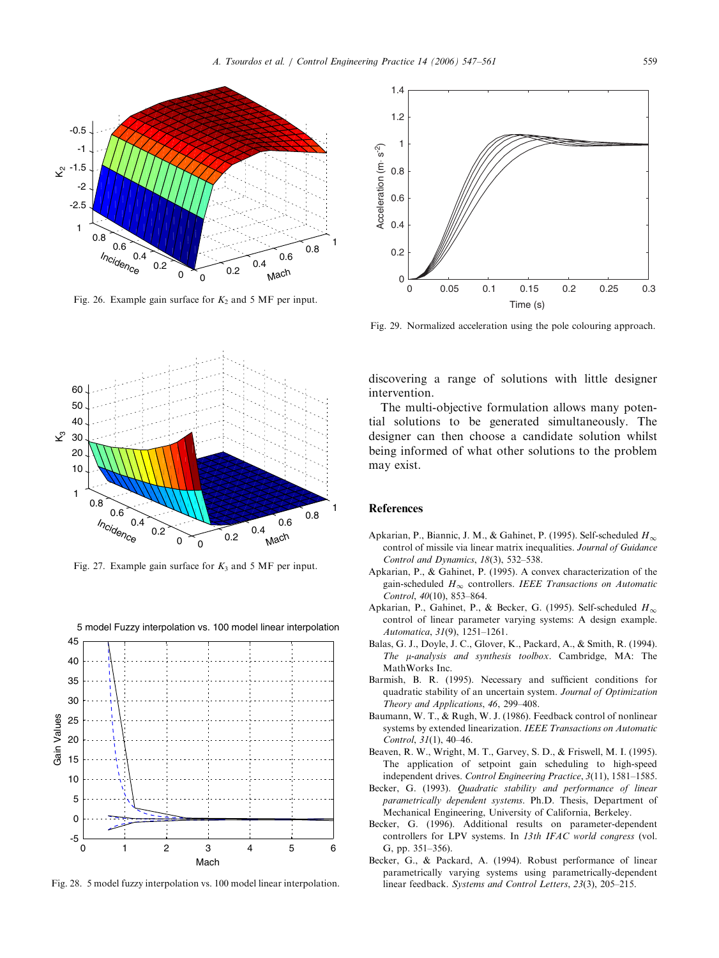<span id="page-12-0"></span>

Fig. 26. Example gain surface for  $K_2$  and 5 MF per input.



Fig. 27. Example gain surface for  $K_3$  and 5 MF per input.



5 model Fuzzy interpolation vs. 100 model linear interpolation

Fig. 28. 5 model fuzzy interpolation vs. 100 model linear interpolation.



Fig. 29. Normalized acceleration using the pole colouring approach.

discovering a range of solutions with little designer intervention.

The multi-objective formulation allows many potential solutions to be generated simultaneously. The designer can then choose a candidate solution whilst being informed of what other solutions to the problem may exist.

## References

- Apkarian, P., Biannic, J. M., & Gahinet, P. (1995). Self-scheduled  $H_{\infty}$ control of missile via linear matrix inequalities. Journal of Guidance Control and Dynamics, 18(3), 532–538.
- Apkarian, P., & Gahinet, P. (1995). A convex characterization of the gain-scheduled  $H_{\infty}$  controllers. IEEE Transactions on Automatic Control, 40(10), 853–864.
- Apkarian, P., Gahinet, P., & Becker, G. (1995). Self-scheduled  $H_{\infty}$ control of linear parameter varying systems: A design example. Automatica, 31(9), 1251–1261.
- Balas, G. J., Doyle, J. C., Glover, K., Packard, A., & Smith, R. (1994). The  $\mu$ -analysis and synthesis toolbox. Cambridge, MA: The MathWorks Inc.
- Barmish, B. R. (1995). Necessary and sufficient conditions for quadratic stability of an uncertain system. Journal of Optimization Theory and Applications, 46, 299–408.
- Baumann, W. T., & Rugh, W. J. (1986). Feedback control of nonlinear systems by extended linearization. IEEE Transactions on Automatic Control, 31(1), 40–46.
- Beaven, R. W., Wright, M. T., Garvey, S. D., & Friswell, M. I. (1995). The application of setpoint gain scheduling to high-speed independent drives. Control Engineering Practice, 3(11), 1581–1585.
- Becker, G. (1993). Quadratic stability and performance of linear parametrically dependent systems. Ph.D. Thesis, Department of Mechanical Engineering, University of California, Berkeley.
- Becker, G. (1996). Additional results on parameter-dependent controllers for LPV systems. In 13th IFAC world congress (vol. G, pp. 351–356).
- Becker, G., & Packard, A. (1994). Robust performance of linear parametrically varying systems using parametrically-dependent linear feedback. Systems and Control Letters, 23(3), 205–215.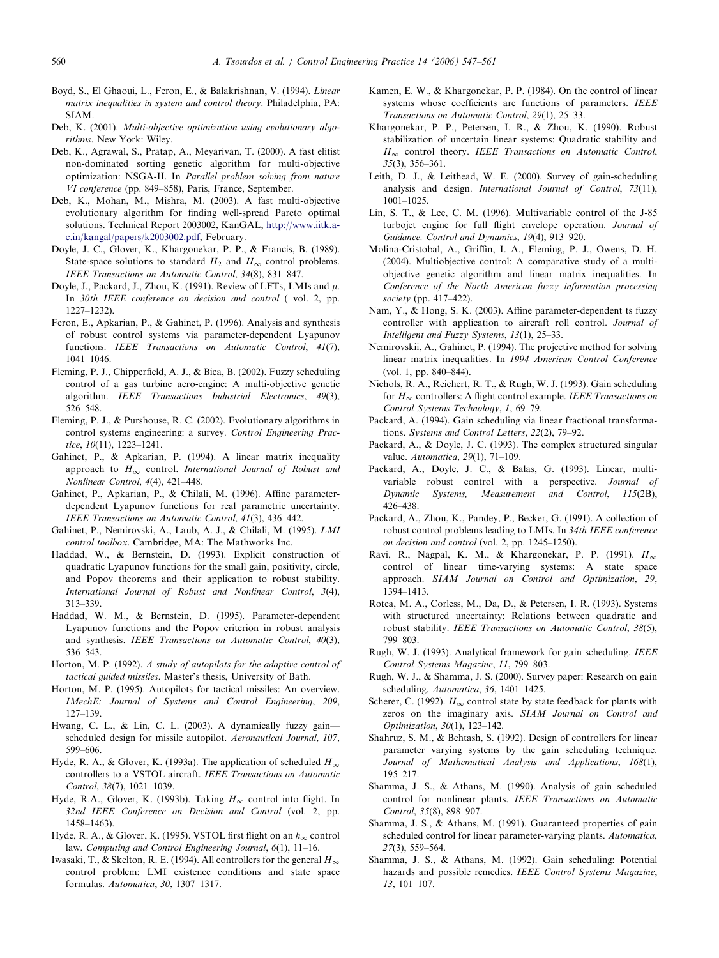- <span id="page-13-0"></span>Boyd, S., El Ghaoui, L., Feron, E., & Balakrishnan, V. (1994). Linear matrix inequalities in system and control theory. Philadelphia, PA: SIAM.
- Deb, K. (2001). Multi-objective optimization using evolutionary algorithms. New York: Wiley.
- Deb, K., Agrawal, S., Pratap, A., Meyarivan, T. (2000). A fast elitist non-dominated sorting genetic algorithm for multi-objective optimization: NSGA-II. In Parallel problem solving from nature VI conference (pp. 849–858), Paris, France, September.
- Deb, K., Mohan, M., Mishra, M. (2003). A fast multi-objective evolutionary algorithm for finding well-spread Pareto optimal solutions. Technical Report 2003002, KanGAL, [http://www.iitk.a](http://www.iitk.ac.in/kangal/papers/k2003002.pdf)[c.in/kangal/papers/k2003002.pdf,](http://www.iitk.ac.in/kangal/papers/k2003002.pdf) February.
- Doyle, J. C., Glover, K., Khargonekar, P. P., & Francis, B. (1989). State-space solutions to standard  $H_2$  and  $H_\infty$  control problems. IEEE Transactions on Automatic Control, 34(8), 831–847.
- Doyle, J., Packard, J., Zhou, K. (1991). Review of LFTs, LMIs and  $\mu$ . In 30th IEEE conference on decision and control ( vol. 2, pp. 1227–1232).
- Feron, E., Apkarian, P., & Gahinet, P. (1996). Analysis and synthesis of robust control systems via parameter-dependent Lyapunov functions. IEEE Transactions on Automatic Control, 41(7), 1041–1046.
- Fleming, P. J., Chipperfield, A. J., & Bica, B. (2002). Fuzzy scheduling control of a gas turbine aero-engine: A multi-objective genetic algorithm. IEEE Transactions Industrial Electronics, 49(3), 526–548.
- Fleming, P. J., & Purshouse, R. C. (2002). Evolutionary algorithms in control systems engineering: a survey. Control Engineering Practice, 10(11), 1223–1241.
- Gahinet, P., & Apkarian, P. (1994). A linear matrix inequality approach to  $H_{\infty}$  control. International Journal of Robust and Nonlinear Control, 4(4), 421–448.
- Gahinet, P., Apkarian, P., & Chilali, M. (1996). Affine parameterdependent Lyapunov functions for real parametric uncertainty. IEEE Transactions on Automatic Control, 41(3), 436–442.
- Gahinet, P., Nemirovski, A., Laub, A. J., & Chilali, M. (1995). LMI control toolbox. Cambridge, MA: The Mathworks Inc.
- Haddad, W., & Bernstein, D. (1993). Explicit construction of quadratic Lyapunov functions for the small gain, positivity, circle, and Popov theorems and their application to robust stability. International Journal of Robust and Nonlinear Control, 3(4), 313–339.
- Haddad, W. M., & Bernstein, D. (1995). Parameter-dependent Lyapunov functions and the Popov criterion in robust analysis and synthesis. IEEE Transactions on Automatic Control, 40(3), 536–543.
- Horton, M. P. (1992). A study of autopilots for the adaptive control of tactical guided missiles. Master's thesis, University of Bath.
- Horton, M. P. (1995). Autopilots for tactical missiles: An overview. IMechE: Journal of Systems and Control Engineering, 209, 127–139.
- Hwang, C. L., & Lin, C. L. (2003). A dynamically fuzzy gainscheduled design for missile autopilot. Aeronautical Journal, 107, 599–606.
- Hyde, R. A., & Glover, K. (1993a). The application of scheduled  $H_{\infty}$ controllers to a VSTOL aircraft. IEEE Transactions on Automatic Control, 38(7), 1021–1039.
- Hyde, R.A., Glover, K. (1993b). Taking  $H_{\infty}$  control into flight. In 32nd IEEE Conference on Decision and Control (vol. 2, pp. 1458–1463).
- Hyde, R. A., & Glover, K. (1995). VSTOL first flight on an  $h_{\infty}$  control law. Computing and Control Engineering Journal, 6(1), 11–16.
- Iwasaki, T., & Skelton, R. E. (1994). All controllers for the general  $H_{\infty}$ control problem: LMI existence conditions and state space formulas. Automatica, 30, 1307–1317.
- Kamen, E. W., & Khargonekar, P. P. (1984). On the control of linear systems whose coefficients are functions of parameters. IEEE Transactions on Automatic Control, 29(1), 25–33.
- Khargonekar, P. P., Petersen, I. R., & Zhou, K. (1990). Robust stabilization of uncertain linear systems: Quadratic stability and  $H_{\infty}$  control theory. IEEE Transactions on Automatic Control, 35(3), 356–361.
- Leith, D. J., & Leithead, W. E. (2000). Survey of gain-scheduling analysis and design. International Journal of Control, 73(11), 1001–1025.
- Lin, S. T., & Lee, C. M. (1996). Multivariable control of the J-85 turbojet engine for full flight envelope operation. Journal of Guidance, Control and Dynamics, 19(4), 913–920.
- Molina-Cristobal, A., Griffin, I. A., Fleming, P. J., Owens, D. H. (2004). Multiobjective control: A comparative study of a multiobjective genetic algorithm and linear matrix inequalities. In Conference of the North American fuzzy information processing society (pp. 417–422).
- Nam, Y., & Hong, S. K. (2003). Affine parameter-dependent ts fuzzy controller with application to aircraft roll control. Journal of Intelligent and Fuzzy Systems, 13(1), 25–33.
- Nemirovskii, A., Gahinet, P. (1994). The projective method for solving linear matrix inequalities. In 1994 American Control Conference (vol. 1, pp. 840–844).
- Nichols, R. A., Reichert, R. T., & Rugh, W. J. (1993). Gain scheduling for  $H_{\infty}$  controllers: A flight control example. IEEE Transactions on Control Systems Technology, 1, 69–79.
- Packard, A. (1994). Gain scheduling via linear fractional transformations. Systems and Control Letters, 22(2), 79–92.
- Packard, A., & Doyle, J. C. (1993). The complex structured singular value. Automatica, 29(1), 71-109.
- Packard, A., Doyle, J. C., & Balas, G. (1993). Linear, multivariable robust control with a perspective. Journal of Dynamic Systems, Measurement and Control, 115(2B), 426–438.
- Packard, A., Zhou, K., Pandey, P., Becker, G. (1991). A collection of robust control problems leading to LMIs. In 34th IEEE conference on decision and control (vol. 2, pp. 1245–1250).
- Ravi, R., Nagpal, K. M., & Khargonekar, P. P. (1991).  $H_{\infty}$ control of linear time-varying systems: A state space approach. SIAM Journal on Control and Optimization, 29, 1394–1413.
- Rotea, M. A., Corless, M., Da, D., & Petersen, I. R. (1993). Systems with structured uncertainty: Relations between quadratic and robust stability. IEEE Transactions on Automatic Control, 38(5), 799–803.
- Rugh, W. J. (1993). Analytical framework for gain scheduling. IEEE Control Systems Magazine, 11, 799–803.
- Rugh, W. J., & Shamma, J. S. (2000). Survey paper: Research on gain scheduling. Automatica, 36, 1401–1425.
- Scherer, C. (1992).  $H_{\infty}$  control state by state feedback for plants with zeros on the imaginary axis. SIAM Journal on Control and Optimization, 30(1), 123–142.
- Shahruz, S. M., & Behtash, S. (1992). Design of controllers for linear parameter varying systems by the gain scheduling technique. Journal of Mathematical Analysis and Applications, 168(1), 195–217.
- Shamma, J. S., & Athans, M. (1990). Analysis of gain scheduled control for nonlinear plants. IEEE Transactions on Automatic Control, 35(8), 898–907.
- Shamma, J. S., & Athans, M. (1991). Guaranteed properties of gain scheduled control for linear parameter-varying plants. Automatica, 27(3), 559–564.
- Shamma, J. S., & Athans, M. (1992). Gain scheduling: Potential hazards and possible remedies. IEEE Control Systems Magazine, 13, 101–107.